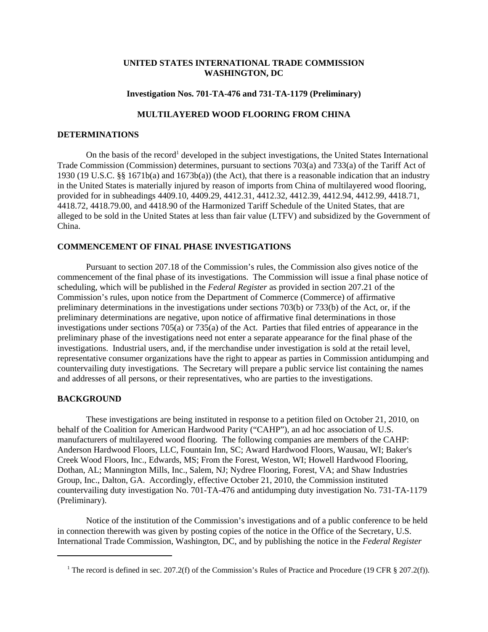## **UNITED STATES INTERNATIONAL TRADE COMMISSION WASHINGTON, DC**

## **Investigation Nos. 701-TA-476 and 731-TA-1179 (Preliminary)**

# **MULTILAYERED WOOD FLOORING FROM CHINA**

#### **DETERMINATIONS**

On the basis of the record<sup>1</sup> developed in the subject investigations, the United States International Trade Commission (Commission) determines, pursuant to sections 703(a) and 733(a) of the Tariff Act of 1930 (19 U.S.C. §§ 1671b(a) and 1673b(a)) (the Act), that there is a reasonable indication that an industry in the United States is materially injured by reason of imports from China of multilayered wood flooring, provided for in subheadings 4409.10, 4409.29, 4412.31, 4412.32, 4412.39, 4412.94, 4412.99, 4418.71, 4418.72, 4418.79.00, and 4418.90 of the Harmonized Tariff Schedule of the United States, that are alleged to be sold in the United States at less than fair value (LTFV) and subsidized by the Government of China.

#### **COMMENCEMENT OF FINAL PHASE INVESTIGATIONS**

Pursuant to section 207.18 of the Commission's rules, the Commission also gives notice of the commencement of the final phase of its investigations. The Commission will issue a final phase notice of scheduling, which will be published in the *Federal Register* as provided in section 207.21 of the Commission's rules, upon notice from the Department of Commerce (Commerce) of affirmative preliminary determinations in the investigations under sections 703(b) or 733(b) of the Act, or, if the preliminary determinations are negative, upon notice of affirmative final determinations in those investigations under sections 705(a) or 735(a) of the Act. Parties that filed entries of appearance in the preliminary phase of the investigations need not enter a separate appearance for the final phase of the investigations. Industrial users, and, if the merchandise under investigation is sold at the retail level, representative consumer organizations have the right to appear as parties in Commission antidumping and countervailing duty investigations. The Secretary will prepare a public service list containing the names and addresses of all persons, or their representatives, who are parties to the investigations.

## **BACKGROUND**

These investigations are being instituted in response to a petition filed on October 21, 2010, on behalf of the Coalition for American Hardwood Parity ("CAHP"), an ad hoc association of U.S. manufacturers of multilayered wood flooring. The following companies are members of the CAHP: Anderson Hardwood Floors, LLC, Fountain Inn, SC; Award Hardwood Floors, Wausau, WI; Baker's Creek Wood Floors, Inc., Edwards, MS; From the Forest, Weston, WI; Howell Hardwood Flooring, Dothan, AL; Mannington Mills, Inc., Salem, NJ; Nydree Flooring, Forest, VA; and Shaw Industries Group, Inc., Dalton, GA. Accordingly, effective October 21, 2010, the Commission instituted countervailing duty investigation No. 701-TA-476 and antidumping duty investigation No. 731-TA-1179 (Preliminary).

Notice of the institution of the Commission's investigations and of a public conference to be held in connection therewith was given by posting copies of the notice in the Office of the Secretary, U.S. International Trade Commission, Washington, DC, and by publishing the notice in the *Federal Register*

<sup>&</sup>lt;sup>1</sup> The record is defined in sec. 207.2(f) of the Commission's Rules of Practice and Procedure (19 CFR § 207.2(f)).